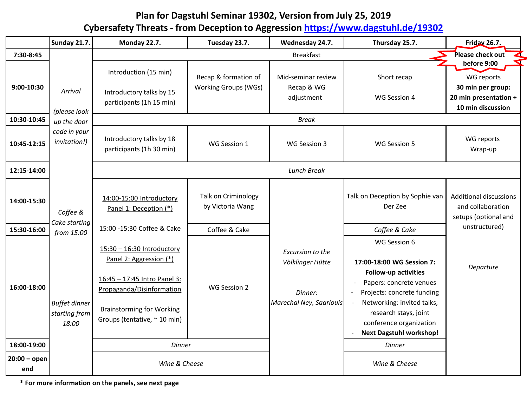# **Plan for Dagstuhl Seminar 19302, Version from July 25, 2019 Cybersafety Threats - from Deception to Aggression <https://www.dagstuhl.de/19302>**

|                       | <b>Sunday 21.7.</b>                            | Monday 22.7.                                                                                                                                                                           | Tuesday 23.7.                                       | Wednesday 24.7.                                                            | Thursday 25.7.                                                                                                                                                                                                                                                                                                                  | Friday 26.7.                                                                                 |
|-----------------------|------------------------------------------------|----------------------------------------------------------------------------------------------------------------------------------------------------------------------------------------|-----------------------------------------------------|----------------------------------------------------------------------------|---------------------------------------------------------------------------------------------------------------------------------------------------------------------------------------------------------------------------------------------------------------------------------------------------------------------------------|----------------------------------------------------------------------------------------------|
| 7:30-8:45             |                                                |                                                                                                                                                                                        |                                                     | <b>Breakfast</b>                                                           |                                                                                                                                                                                                                                                                                                                                 | Please check out<br>◢                                                                        |
| 9:00-10:30            | Arrival                                        | Introduction (15 min)<br>Introductory talks by 15<br>participants (1h 15 min)                                                                                                          | Recap & formation of<br><b>Working Groups (WGs)</b> | Mid-seminar review<br>Recap & WG<br>adjustment                             | Short recap<br>WG Session 4                                                                                                                                                                                                                                                                                                     | before 9:00<br>WG reports<br>30 min per group:<br>20 min presentation +<br>10 min discussion |
| 10:30-10:45           | (please look<br>up the door                    |                                                                                                                                                                                        |                                                     | <b>Break</b>                                                               |                                                                                                                                                                                                                                                                                                                                 |                                                                                              |
| 10:45-12:15           | code in your<br>invitation!)                   | Introductory talks by 18<br>participants (1h 30 min)                                                                                                                                   | WG Session 1                                        | WG Session 3                                                               | WG Session 5                                                                                                                                                                                                                                                                                                                    | WG reports<br>Wrap-up                                                                        |
| 12:15-14:00           |                                                | <b>Lunch Break</b>                                                                                                                                                                     |                                                     |                                                                            |                                                                                                                                                                                                                                                                                                                                 |                                                                                              |
| 14:00-15:30           | Coffee &<br>Cake starting                      | 14:00-15:00 Introductory<br>Panel 1: Deception (*)                                                                                                                                     | Talk on Criminology<br>by Victoria Wang             |                                                                            | Talk on Deception by Sophie van<br>Der Zee                                                                                                                                                                                                                                                                                      | <b>Additional discussions</b><br>and collaboration<br>setups (optional and                   |
| 15:30-16:00           | from 15:00                                     | 15:00 -15:30 Coffee & Cake                                                                                                                                                             | Coffee & Cake                                       |                                                                            | Coffee & Cake                                                                                                                                                                                                                                                                                                                   | unstructured)                                                                                |
| 16:00-18:00           | <b>Buffet dinner</b><br>starting from<br>18:00 | 15:30 - 16:30 Introductory<br>Panel 2: Aggression (*)<br>16:45 - 17:45 Intro Panel 3:<br>Propaganda/Disinformation<br><b>Brainstorming for Working</b><br>Groups (tentative, ~ 10 min) | WG Session 2                                        | Excursion to the<br>Völklinger Hütte<br>Dinner:<br>Marechal Ney, Saarlouis | WG Session 6<br>17:00-18:00 WG Session 7:<br><b>Follow-up activities</b><br>Papers: concrete venues<br>$\overline{\phantom{a}}$<br>Projects: concrete funding<br>Networking: invited talks,<br>$\blacksquare$<br>research stays, joint<br>conference organization<br><b>Next Dagstuhl workshop!</b><br>$\overline{\phantom{a}}$ | Departure                                                                                    |
| 18:00-19:00           |                                                | <b>Dinner</b>                                                                                                                                                                          |                                                     |                                                                            | <b>Dinner</b>                                                                                                                                                                                                                                                                                                                   |                                                                                              |
| $20:00 -$ open<br>end | Wine & Cheese                                  |                                                                                                                                                                                        |                                                     | Wine & Cheese                                                              |                                                                                                                                                                                                                                                                                                                                 |                                                                                              |

**\* For more information on the panels, see next page**